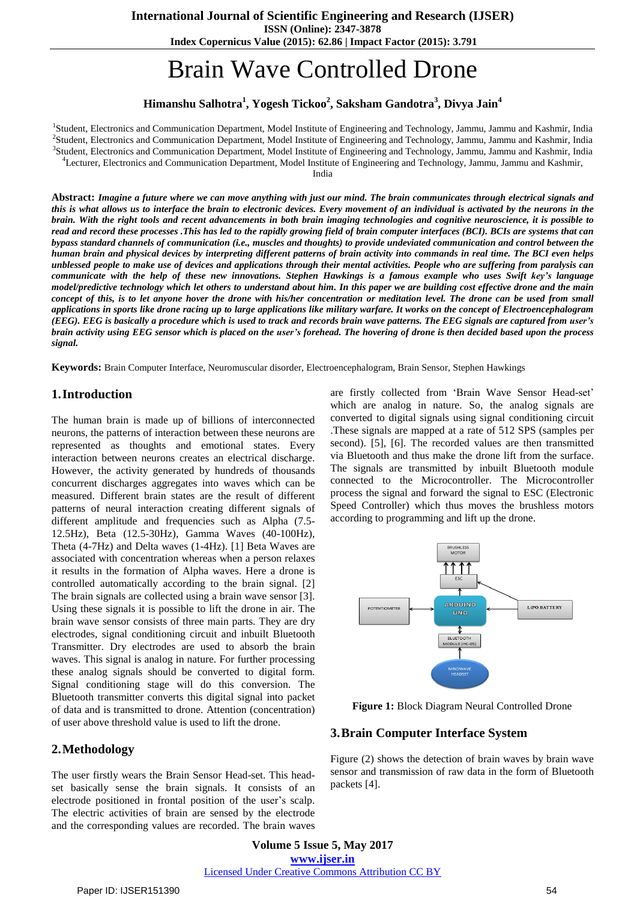**ISSN (Online): 2347-3878**

**Index Copernicus Value (2015): 62.86 | Impact Factor (2015): 3.791**

# Brain Wave Controlled Drone

# **Himanshu Salhotra<sup>1</sup> , Yogesh Tickoo<sup>2</sup> , Saksham Gandotra<sup>3</sup> , Divya Jain<sup>4</sup>**

<sup>1</sup>Student, Electronics and Communication Department, Model Institute of Engineering and Technology, Jammu, Jammu and Kashmir, India Student, Electronics and Communication Department, Model Institute of Engineering and Technology, Jammu, Jammu and Kashmir, India Student, Electronics and Communication Department, Model Institute of Engineering and Technology, Jammu, Jammu and Kashmir, India Lecturer, Electronics and Communication Department, Model Institute of Engineering and Technology, Jammu, Jammu and Kashmir,

India

Abstract: Imagine a future where we can move anything with just our mind. The brain communicates through electrical signals and this is what allows us to interface the brain to electronic devices. Every movement of an individual is activated by the neurons in the brain. With the right tools and recent advancements in both brain imaging technologies and cognitive neuroscience, it is possible to read and record these processes .This has led to the rapidly growing field of brain computer interfaces (BCI). BCIs are systems that can bypass standard channels of communication (i.e., muscles and thoughts) to provide undeviated communication and control between the human brain and physical devices by interpreting different patterns of brain activity into commands in real time. The BCI even helps unblessed people to make use of devices and applications through their mental activities. People who are suffering from paralysis can communicate with the help of these new innovations. Stephen Hawkings is a famous example who uses Swift key's language model/predictive technology which let others to understand about him. In this paper we are building cost effective drone and the main concept of this, is to let anyone hover the drone with his/her concentration or meditation level. The drone can be used from small applications in sports like drone racing up to large applications like military warfare. It works on the concept of Electroencephalogram (EEG). EEG is basically a procedure which is used to track and records brain wave patterns. The EEG signals are captured from user's brain activity using EEG sensor which is placed on the user's forehead. The hovering of drone is then decided based upon the process *signal.*

**Keywords:** Brain Computer Interface, Neuromuscular disorder, Electroencephalogram, Brain Sensor, Stephen Hawkings

#### **1.Introduction**

The human brain is made up of billions of interconnected neurons, the patterns of interaction between these neurons are represented as thoughts and emotional states. Every interaction between neurons creates an electrical discharge. However, the activity generated by hundreds of thousands concurrent discharges aggregates into waves which can be measured. Different brain states are the result of different patterns of neural interaction creating different signals of different amplitude and frequencies such as Alpha (7.5- 12.5Hz), Beta (12.5-30Hz), Gamma Waves (40-100Hz), Theta (4-7Hz) and Delta waves (1-4Hz). [1] Beta Waves are associated with concentration whereas when a person relaxes it results in the formation of Alpha waves. Here a drone is controlled automatically according to the brain signal. [2] The brain signals are collected using a brain wave sensor [3]. Using these signals it is possible to lift the drone in air. The brain wave sensor consists of three main parts. They are dry electrodes, signal conditioning circuit and inbuilt Bluetooth Transmitter. Dry electrodes are used to absorb the brain waves. This signal is analog in nature. For further processing these analog signals should be converted to digital form. Signal conditioning stage will do this conversion. The Bluetooth transmitter converts this digital signal into packet of data and is transmitted to drone. Attention (concentration) of user above threshold value is used to lift the drone.

#### **2.Methodology**

The user firstly wears the Brain Sensor Head-set. This headset basically sense the brain signals. It consists of an electrode positioned in frontal position of the user"s scalp. The electric activities of brain are sensed by the electrode and the corresponding values are recorded. The brain waves

are firstly collected from 'Brain Wave Sensor Head-set' which are analog in nature. So, the analog signals are converted to digital signals using signal conditioning circuit .These signals are mapped at a rate of 512 SPS (samples per second). [5], [6]. The recorded values are then transmitted via Bluetooth and thus make the drone lift from the surface. The signals are transmitted by inbuilt Bluetooth module connected to the Microcontroller. The Microcontroller process the signal and forward the signal to ESC (Electronic Speed Controller) which thus moves the brushless motors according to programming and lift up the drone.



**Figure 1:** Block Diagram Neural Controlled Drone

#### **3.Brain Computer Interface System**

Figure (2) shows the detection of brain waves by brain wave sensor and transmission of raw data in the form of Bluetooth packets [4].

**Volume 5 Issue 5, May 2017 www.ijser.in** Licensed Under Creative Commons Attribution CC BY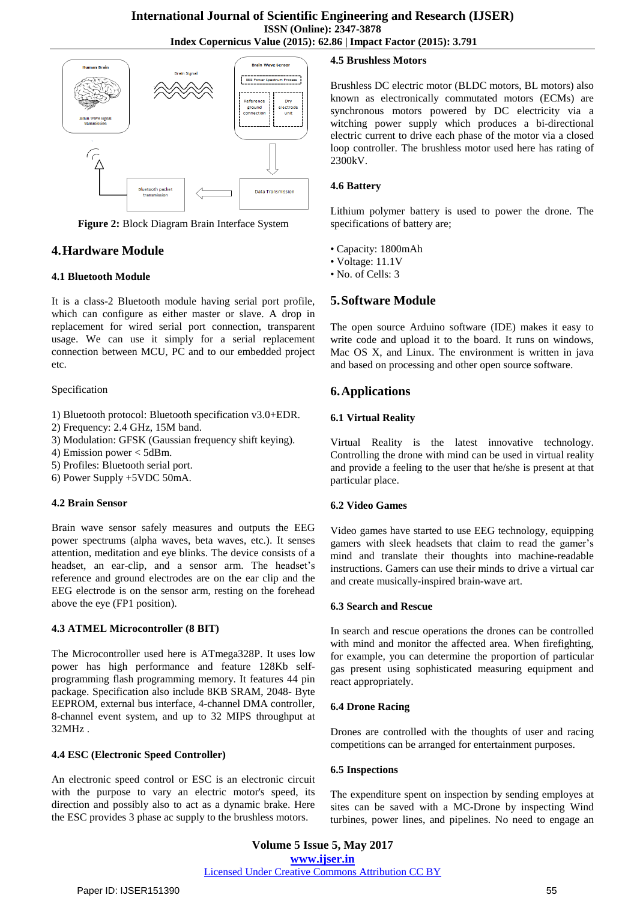

**Figure 2:** Block Diagram Brain Interface System

# **4.Hardware Module**

#### **4.1 Bluetooth Module**

It is a class-2 Bluetooth module having serial port profile, which can configure as either master or slave. A drop in replacement for wired serial port connection, transparent usage. We can use it simply for a serial replacement connection between MCU, PC and to our embedded project etc.

#### Specification

# 1) Bluetooth protocol: Bluetooth specification v3.0+EDR.

- 2) Frequency: 2.4 GHz, 15M band.
- 3) Modulation: GFSK (Gaussian frequency shift keying).
- 4) Emission power < 5dBm.
- 5) Profiles: Bluetooth serial port.
- 6) Power Supply +5VDC 50mA.

#### **4.2 Brain Sensor**

Brain wave sensor safely measures and outputs the EEG power spectrums (alpha waves, beta waves, etc.). It senses attention, meditation and eye blinks. The device consists of a headset, an ear-clip, and a sensor arm. The headset's reference and ground electrodes are on the ear clip and the EEG electrode is on the sensor arm, resting on the forehead above the eye (FP1 position).

#### **4.3 ATMEL Microcontroller (8 BIT)**

The Microcontroller used here is ATmega328P. It uses low power has high performance and feature 128Kb selfprogramming flash programming memory. It features 44 pin package. Specification also include 8KB SRAM, 2048- Byte EEPROM, external bus interface, 4-channel DMA controller, 8-channel event system, and up to 32 MIPS throughput at 32MHz .

#### **4.4 ESC (Electronic Speed Controller)**

An electronic speed control or ESC is an electronic circuit with the purpose to vary an electric motor's speed, its direction and possibly also to act as a dynamic brake. Here the ESC provides 3 phase ac supply to the brushless motors.

### **4.5 Brushless Motors**

Brushless DC electric motor (BLDC motors, BL motors) also known as electronically commutated motors (ECMs) are synchronous motors powered by DC electricity via a witching power supply which produces a bi-directional electric current to drive each phase of the motor via a closed loop controller. The brushless motor used here has rating of 2300kV.

#### **4.6 Battery**

Lithium polymer battery is used to power the drone. The specifications of battery are;

- Capacity: 1800mAh
- Voltage: 11.1V
- No. of Cells: 3

# **5.Software Module**

The open source Arduino software (IDE) makes it easy to write code and upload it to the board. It runs on windows, Mac OS X, and Linux. The environment is written in java and based on processing and other open source software.

## **6.Applications**

#### **6.1 Virtual Reality**

Virtual Reality is the latest innovative technology. Controlling the drone with mind can be used in virtual reality and provide a feeling to the user that he/she is present at that particular place.

#### **6.2 Video Games**

Video games have started to use EEG technology, equipping gamers with sleek headsets that claim to read the gamer"s mind and translate their thoughts into machine-readable instructions. Gamers can use their minds to drive a virtual car and create musically-inspired brain-wave art.

#### **6.3 Search and Rescue**

In search and rescue operations the drones can be controlled with mind and monitor the affected area. When firefighting, for example, you can determine the proportion of particular gas present using sophisticated measuring equipment and react appropriately.

#### **6.4 Drone Racing**

Drones are controlled with the thoughts of user and racing competitions can be arranged for entertainment purposes.

#### **6.5 Inspections**

The expenditure spent on inspection by sending employes at sites can be saved with a MC-Drone by inspecting Wind turbines, power lines, and pipelines. No need to engage an